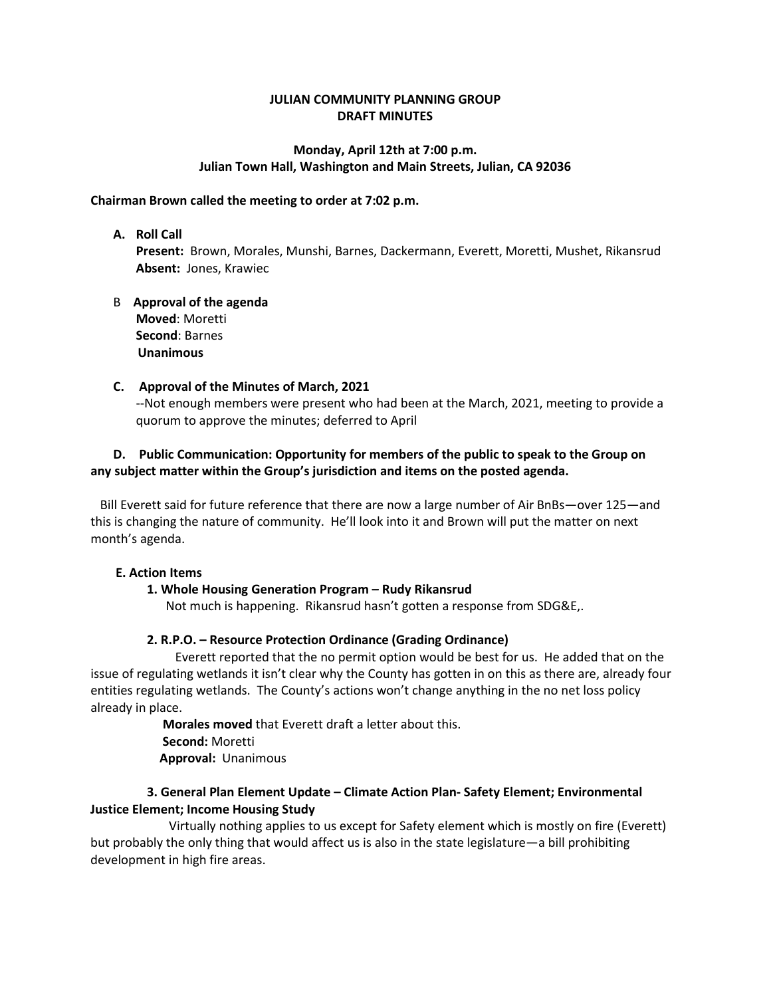# **JULIAN COMMUNITY PLANNING GROUP DRAFT MINUTES**

#### **Monday, April 12th at 7:00 p.m. Julian Town Hall, Washington and Main Streets, Julian, CA 92036**

#### **Chairman Brown called the meeting to order at 7:02 p.m.**

#### **A. Roll Call**

**Present:** Brown, Morales, Munshi, Barnes, Dackermann, Everett, Moretti, Mushet, Rikansrud **Absent:** Jones, Krawiec

## B **Approval of the agenda Moved**: Moretti **Second**: Barnes **Unanimous**

#### **C. Approval of the Minutes of March, 2021**

--Not enough members were present who had been at the March, 2021, meeting to provide a quorum to approve the minutes; deferred to April

# **D. Public Communication: Opportunity for members of the public to speak to the Group on any subject matter within the Group's jurisdiction and items on the posted agenda.**

 Bill Everett said for future reference that there are now a large number of Air BnBs—over 125—and this is changing the nature of community. He'll look into it and Brown will put the matter on next month's agenda.

#### **E. Action Items**

## **1. Whole Housing Generation Program – Rudy Rikansrud**

Not much is happening. Rikansrud hasn't gotten a response from SDG&E,.

## **2. R.P.O. – Resource Protection Ordinance (Grading Ordinance)**

 Everett reported that the no permit option would be best for us. He added that on the issue of regulating wetlands it isn't clear why the County has gotten in on this as there are, already four entities regulating wetlands. The County's actions won't change anything in the no net loss policy already in place.

> **Morales moved** that Everett draft a letter about this. **Second:** Moretti **Approval:** Unanimous

# **3. General Plan Element Update – Climate Action Plan- Safety Element; Environmental Justice Element; Income Housing Study**

 Virtually nothing applies to us except for Safety element which is mostly on fire (Everett) but probably the only thing that would affect us is also in the state legislature—a bill prohibiting development in high fire areas.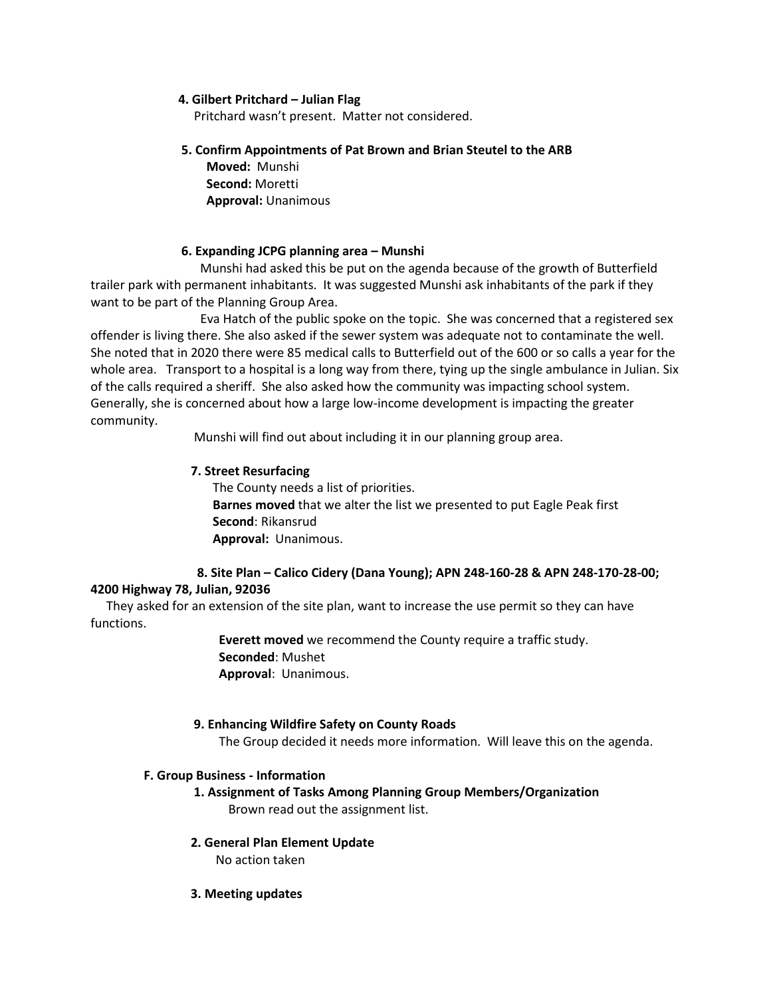#### **4. Gilbert Pritchard – Julian Flag**

Pritchard wasn't present. Matter not considered.

## **5. Confirm Appointments of Pat Brown and Brian Steutel to the ARB**

 **Moved:** Munshi **Second:** Moretti **Approval:** Unanimous

## **6. Expanding JCPG planning area – Munshi**

 Munshi had asked this be put on the agenda because of the growth of Butterfield trailer park with permanent inhabitants. It was suggested Munshi ask inhabitants of the park if they want to be part of the Planning Group Area.

 Eva Hatch of the public spoke on the topic. She was concerned that a registered sex offender is living there. She also asked if the sewer system was adequate not to contaminate the well. She noted that in 2020 there were 85 medical calls to Butterfield out of the 600 or so calls a year for the whole area. Transport to a hospital is a long way from there, tying up the single ambulance in Julian. Six of the calls required a sheriff. She also asked how the community was impacting school system. Generally, she is concerned about how a large low-income development is impacting the greater community.

Munshi will find out about including it in our planning group area.

# **7. Street Resurfacing**

 The County needs a list of priorities. **Barnes moved** that we alter the list we presented to put Eagle Peak first **Second**: Rikansrud **Approval:** Unanimous.

# **8. Site Plan – Calico Cidery (Dana Young); APN 248-160-28 & APN 248-170-28-00;**

## **4200 Highway 78, Julian, 92036**

 They asked for an extension of the site plan, want to increase the use permit so they can have functions.

> **Everett moved** we recommend the County require a traffic study. **Seconded**: Mushet **Approval**: Unanimous.

## **9. Enhancing Wildfire Safety on County Roads**

The Group decided it needs more information. Will leave this on the agenda.

## **F. Group Business - Information**

# **1. Assignment of Tasks Among Planning Group Members/Organization** Brown read out the assignment list.

**2. General Plan Element Update**

No action taken

## **3. Meeting updates**